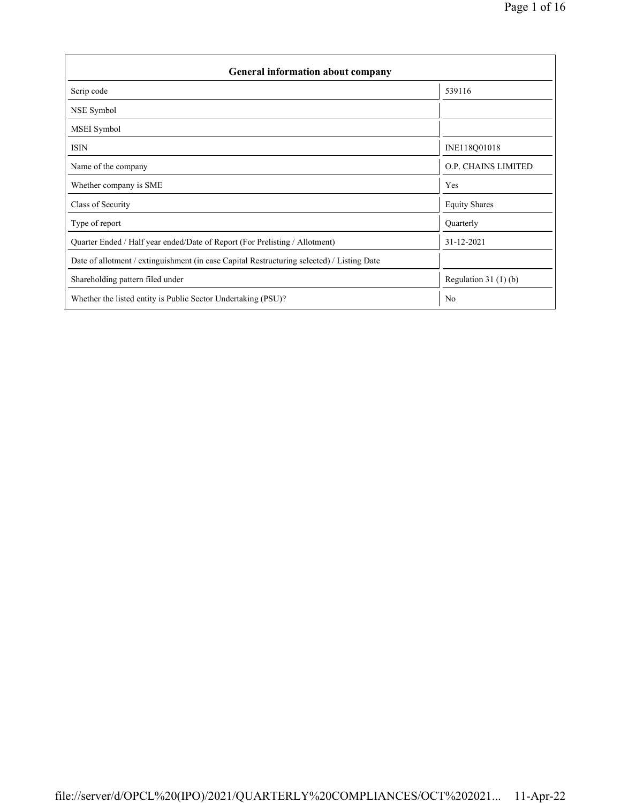| <b>General information about company</b>                                                   |                       |  |  |  |  |  |
|--------------------------------------------------------------------------------------------|-----------------------|--|--|--|--|--|
| Scrip code                                                                                 | 539116                |  |  |  |  |  |
| NSE Symbol                                                                                 |                       |  |  |  |  |  |
| MSEI Symbol                                                                                |                       |  |  |  |  |  |
| <b>ISIN</b>                                                                                | INE118Q01018          |  |  |  |  |  |
| Name of the company                                                                        | O.P. CHAINS LIMITED   |  |  |  |  |  |
| Whether company is SME                                                                     | Yes                   |  |  |  |  |  |
| Class of Security                                                                          | <b>Equity Shares</b>  |  |  |  |  |  |
| Type of report                                                                             | Quarterly             |  |  |  |  |  |
| Quarter Ended / Half year ended/Date of Report (For Prelisting / Allotment)                | 31-12-2021            |  |  |  |  |  |
| Date of allotment / extinguishment (in case Capital Restructuring selected) / Listing Date |                       |  |  |  |  |  |
| Shareholding pattern filed under                                                           | Regulation $31(1)(b)$ |  |  |  |  |  |
| Whether the listed entity is Public Sector Undertaking (PSU)?                              | N <sub>0</sub>        |  |  |  |  |  |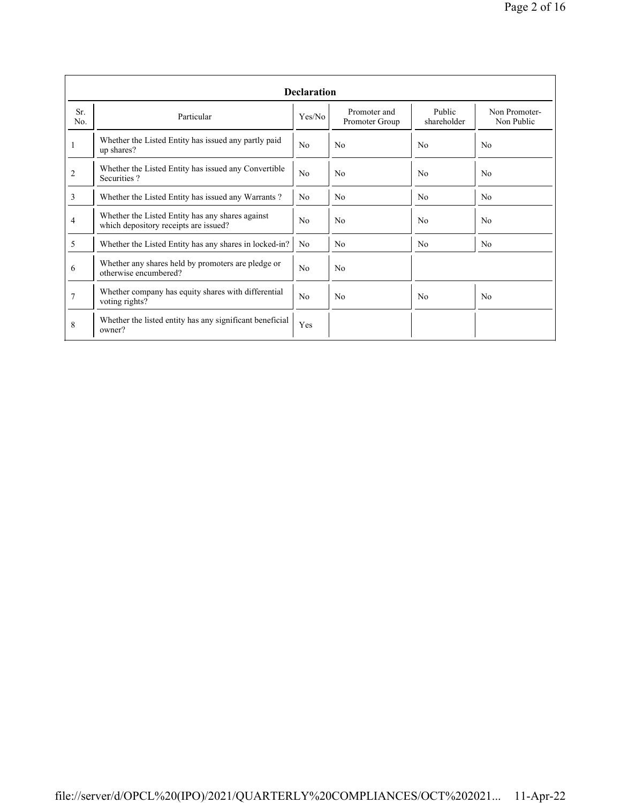|                | <b>Declaration</b>                                                                        |                |                                |                       |                             |  |  |  |
|----------------|-------------------------------------------------------------------------------------------|----------------|--------------------------------|-----------------------|-----------------------------|--|--|--|
| Sr.<br>No.     | Particular                                                                                | Yes/No         | Promoter and<br>Promoter Group | Public<br>shareholder | Non Promoter-<br>Non Public |  |  |  |
|                | Whether the Listed Entity has issued any partly paid<br>up shares?                        | No             | No                             | No                    | N <sub>0</sub>              |  |  |  |
| 2              | Whether the Listed Entity has issued any Convertible<br>Securities?                       | No             | No                             | No                    | No                          |  |  |  |
| $\overline{3}$ | Whether the Listed Entity has issued any Warrants?                                        | N <sub>0</sub> | N <sub>0</sub>                 | N <sub>0</sub>        | N <sub>0</sub>              |  |  |  |
| 4              | Whether the Listed Entity has any shares against<br>which depository receipts are issued? | No             | N <sub>0</sub>                 | N <sub>0</sub>        | N <sub>0</sub>              |  |  |  |
| 5              | Whether the Listed Entity has any shares in locked-in?                                    | N <sub>0</sub> | N <sub>0</sub>                 | No                    | No.                         |  |  |  |
| 6              | Whether any shares held by promoters are pledge or<br>otherwise encumbered?               | No             | No                             |                       |                             |  |  |  |
| 7              | Whether company has equity shares with differential<br>voting rights?                     | No             | No                             | N <sub>0</sub>        | N <sub>0</sub>              |  |  |  |
| 8              | Whether the listed entity has any significant beneficial<br>owner?                        | Yes            |                                |                       |                             |  |  |  |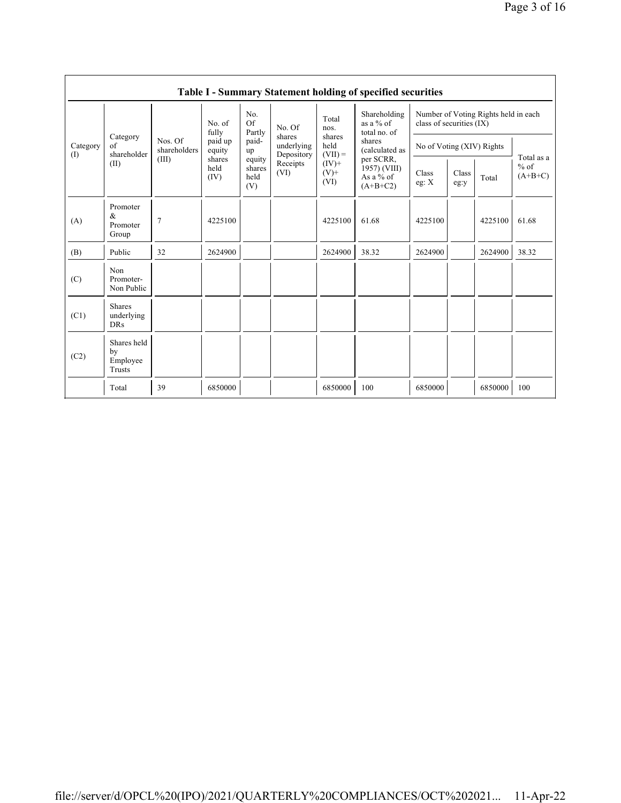|             |                                           |                         |                        |                                 |                                                                  |                                                            | Table I - Summary Statement holding of specified securities                                                                     |                                                                  |               |         |                                   |
|-------------|-------------------------------------------|-------------------------|------------------------|---------------------------------|------------------------------------------------------------------|------------------------------------------------------------|---------------------------------------------------------------------------------------------------------------------------------|------------------------------------------------------------------|---------------|---------|-----------------------------------|
|             |                                           |                         | No. of<br>fully        | No.<br>Of<br>Partly             | No. Of<br>shares<br>underlying<br>Depository<br>Receipts<br>(VI) | Total<br>nos.                                              | Shareholding<br>as a $%$ of<br>total no. of<br>shares<br>(calculated as<br>per SCRR,<br>1957) (VIII)<br>As a % of<br>$(A+B+C2)$ | Number of Voting Rights held in each<br>class of securities (IX) |               |         |                                   |
| Category    | Category<br>of<br>shareholder             | Nos. Of<br>shareholders | paid up<br>equity      | paid-<br>up                     |                                                                  | shares<br>held<br>$(VII) =$<br>$(IV)$ +<br>$(V)$ +<br>(VI) |                                                                                                                                 | No of Voting (XIV) Rights                                        |               |         | Total as a<br>$%$ of<br>$(A+B+C)$ |
| (I)<br>(II) |                                           | (III)                   | shares<br>held<br>(IV) | equity<br>shares<br>held<br>(V) |                                                                  |                                                            |                                                                                                                                 | Class<br>eg: $X$                                                 | Class<br>eg:y | Total   |                                   |
| (A)         | Promoter<br>&<br>Promoter<br>Group        | $\overline{7}$          | 4225100                |                                 |                                                                  | 4225100                                                    | 61.68                                                                                                                           | 4225100                                                          |               | 4225100 | 61.68                             |
| (B)         | Public                                    | 32                      | 2624900                |                                 |                                                                  | 2624900                                                    | 38.32                                                                                                                           | 2624900                                                          |               | 2624900 | 38.32                             |
| (C)         | Non<br>Promoter-<br>Non Public            |                         |                        |                                 |                                                                  |                                                            |                                                                                                                                 |                                                                  |               |         |                                   |
| (C1)        | <b>Shares</b><br>underlying<br><b>DRs</b> |                         |                        |                                 |                                                                  |                                                            |                                                                                                                                 |                                                                  |               |         |                                   |
| (C2)        | Shares held<br>by<br>Employee<br>Trusts   |                         |                        |                                 |                                                                  |                                                            |                                                                                                                                 |                                                                  |               |         |                                   |
|             | Total                                     | 39                      | 6850000                |                                 |                                                                  | 6850000                                                    | 100                                                                                                                             | 6850000                                                          |               | 6850000 | 100                               |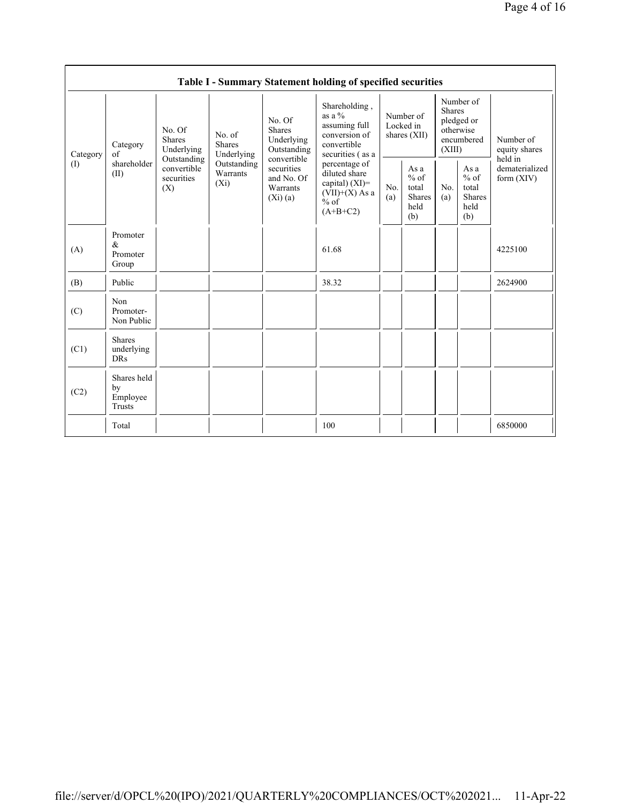|                                                                                                                                                                                                                                                                                                                                                                                         |                                                                                                 |            |                                                         | Table I - Summary Statement holding of specified securities                                     |                                                  |                                           |                                                                               |  |                            |
|-----------------------------------------------------------------------------------------------------------------------------------------------------------------------------------------------------------------------------------------------------------------------------------------------------------------------------------------------------------------------------------------|-------------------------------------------------------------------------------------------------|------------|---------------------------------------------------------|-------------------------------------------------------------------------------------------------|--------------------------------------------------|-------------------------------------------|-------------------------------------------------------------------------------|--|----------------------------|
| No. Of<br><b>Shares</b><br>No. Of<br>No. of<br><b>Shares</b><br>Underlying<br><b>Shares</b><br>Category<br>Underlying<br>Outstanding<br>of<br>Underlying<br>Category<br>convertible<br>Outstanding<br>shareholder<br>Outstanding<br>$\left( \mathrm{I}\right)$<br>convertible<br>securities<br>Warrants<br>(II)<br>and No. Of<br>securities<br>$(X_i)$<br>Warrants<br>(X)<br>$(X_i)(a)$ |                                                                                                 |            |                                                         | Shareholding,<br>as a $\%$<br>assuming full<br>conversion of<br>convertible<br>securities (as a | Number of<br>Locked in<br>shares (XII)           |                                           | Number of<br><b>Shares</b><br>pledged or<br>otherwise<br>encumbered<br>(XIII) |  | Number of<br>equity shares |
|                                                                                                                                                                                                                                                                                                                                                                                         | percentage of<br>diluted share<br>capital) $(XI)$ =<br>$(VII)+(X)$ As a<br>$%$ of<br>$(A+B+C2)$ | No.<br>(a) | As a<br>$%$ of<br>total<br><b>Shares</b><br>held<br>(b) | No.<br>(a)                                                                                      | As a<br>$%$ of<br>total<br>Shares<br>held<br>(b) | held in<br>dematerialized<br>form $(XIV)$ |                                                                               |  |                            |
| (A)                                                                                                                                                                                                                                                                                                                                                                                     | Promoter<br>&<br>Promoter<br>Group                                                              |            |                                                         | 61.68                                                                                           |                                                  |                                           |                                                                               |  | 4225100                    |
| (B)                                                                                                                                                                                                                                                                                                                                                                                     | Public                                                                                          |            |                                                         | 38.32                                                                                           |                                                  |                                           |                                                                               |  | 2624900                    |
| (C)                                                                                                                                                                                                                                                                                                                                                                                     | Non<br>Promoter-<br>Non Public                                                                  |            |                                                         |                                                                                                 |                                                  |                                           |                                                                               |  |                            |
| (C1)                                                                                                                                                                                                                                                                                                                                                                                    | <b>Shares</b><br>underlying<br><b>DRs</b>                                                       |            |                                                         |                                                                                                 |                                                  |                                           |                                                                               |  |                            |
| (C2)                                                                                                                                                                                                                                                                                                                                                                                    | Shares held<br>by<br>Employee<br>Trusts                                                         |            |                                                         |                                                                                                 |                                                  |                                           |                                                                               |  |                            |
|                                                                                                                                                                                                                                                                                                                                                                                         | Total                                                                                           |            |                                                         | 100                                                                                             |                                                  |                                           |                                                                               |  | 6850000                    |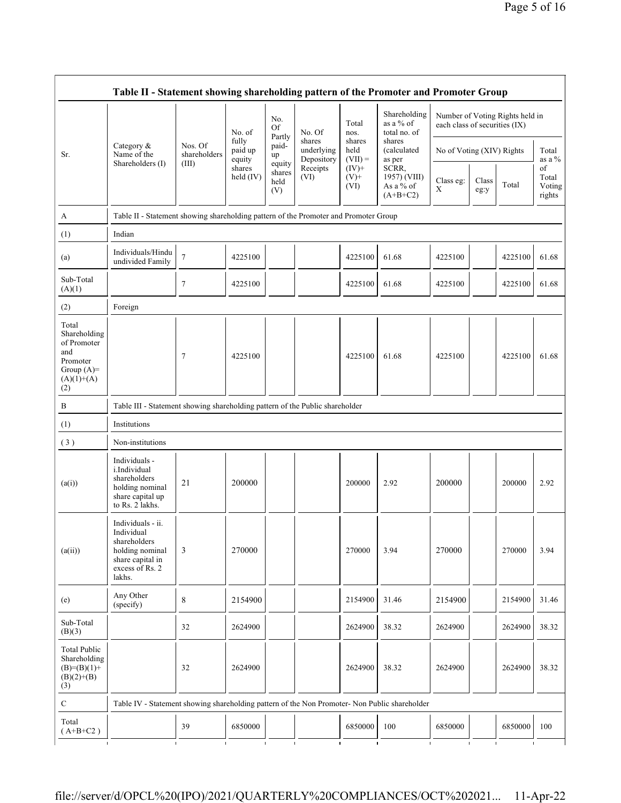|                                                                                                | No.<br>as a $%$ of<br>Total<br><b>Of</b><br>No. of<br>No. Of<br>nos.<br>Partly                                      |                         | Shareholding<br>total no. of | each class of securities (IX)   |                                    | Number of Voting Rights held in |                                                  |                           |               |         |                                 |
|------------------------------------------------------------------------------------------------|---------------------------------------------------------------------------------------------------------------------|-------------------------|------------------------------|---------------------------------|------------------------------------|---------------------------------|--------------------------------------------------|---------------------------|---------------|---------|---------------------------------|
| Sr.                                                                                            | Category &<br>Name of the                                                                                           | Nos. Of<br>shareholders | fully<br>paid up<br>equity   | paid-<br>up                     | shares<br>underlying<br>Depository | shares<br>held<br>$(VII) =$     | shares<br>(calculated<br>as per                  | No of Voting (XIV) Rights |               |         | Total<br>as a %                 |
|                                                                                                | Shareholders (I)                                                                                                    | (III)                   | shares<br>held (IV)          | equity<br>shares<br>held<br>(V) | Receipts<br>(VI)                   | $(IV)$ +<br>$(V)^+$<br>(VI)     | SCRR,<br>1957) (VIII)<br>As a % of<br>$(A+B+C2)$ | Class eg:<br>X            | Class<br>eg:y | Total   | of<br>Total<br>Voting<br>rights |
| A                                                                                              | Table II - Statement showing shareholding pattern of the Promoter and Promoter Group                                |                         |                              |                                 |                                    |                                 |                                                  |                           |               |         |                                 |
| (1)                                                                                            | Indian                                                                                                              |                         |                              |                                 |                                    |                                 |                                                  |                           |               |         |                                 |
| (a)                                                                                            | Individuals/Hindu<br>undivided Family                                                                               | $\tau$                  | 4225100                      |                                 |                                    | 4225100                         | 61.68                                            | 4225100                   |               | 4225100 | 61.68                           |
| Sub-Total<br>(A)(1)                                                                            |                                                                                                                     | 7                       | 4225100                      |                                 |                                    | 4225100                         | 61.68                                            | 4225100                   |               | 4225100 | 61.68                           |
| (2)                                                                                            | Foreign                                                                                                             |                         |                              |                                 |                                    |                                 |                                                  |                           |               |         |                                 |
| Total<br>Shareholding<br>of Promoter<br>and<br>Promoter<br>Group $(A)=$<br>$(A)(1)+(A)$<br>(2) |                                                                                                                     | 7                       | 4225100                      |                                 |                                    | 4225100                         | 61.68                                            | 4225100                   |               | 4225100 | 61.68                           |
| B                                                                                              | Table III - Statement showing shareholding pattern of the Public shareholder                                        |                         |                              |                                 |                                    |                                 |                                                  |                           |               |         |                                 |
| (1)                                                                                            | Institutions                                                                                                        |                         |                              |                                 |                                    |                                 |                                                  |                           |               |         |                                 |
| (3)                                                                                            | Non-institutions                                                                                                    |                         |                              |                                 |                                    |                                 |                                                  |                           |               |         |                                 |
| (a(i))                                                                                         | Individuals -<br>i.Individual<br>shareholders<br>holding nominal<br>share capital up<br>to Rs. 2 lakhs.             | 21                      | 200000                       |                                 |                                    | 200000                          | 2.92                                             | 200000                    |               | 200000  | 2.92                            |
| (a(ii))                                                                                        | Individuals - ii.<br>Individual<br>shareholders<br>holding nominal<br>share capital in<br>excess of Rs. 2<br>lakhs. | 3                       | 270000                       |                                 |                                    | 270000                          | 3.94                                             | 270000                    |               | 270000  | 3.94                            |
| (e)                                                                                            | Any Other<br>(specify)                                                                                              | $\,8\,$                 | 2154900                      |                                 |                                    | 2154900                         | 31.46                                            | 2154900                   |               | 2154900 | 31.46                           |
| Sub-Total<br>(B)(3)                                                                            |                                                                                                                     | 32                      | 2624900                      |                                 |                                    | 2624900                         | 38.32                                            | 2624900                   |               | 2624900 | 38.32                           |
| <b>Total Public</b><br>Shareholding<br>$(B)= (B)(1) +$<br>$(B)(2)+(B)$                         |                                                                                                                     | 32                      | 2624900                      |                                 |                                    | 2624900                         | 38.32                                            | 2624900                   |               | 2624900 | 38.32                           |
| (3)                                                                                            |                                                                                                                     |                         |                              |                                 |                                    |                                 |                                                  |                           |               |         |                                 |
| ${\bf C}$                                                                                      | Table IV - Statement showing shareholding pattern of the Non Promoter- Non Public shareholder                       |                         |                              |                                 |                                    |                                 |                                                  |                           |               |         |                                 |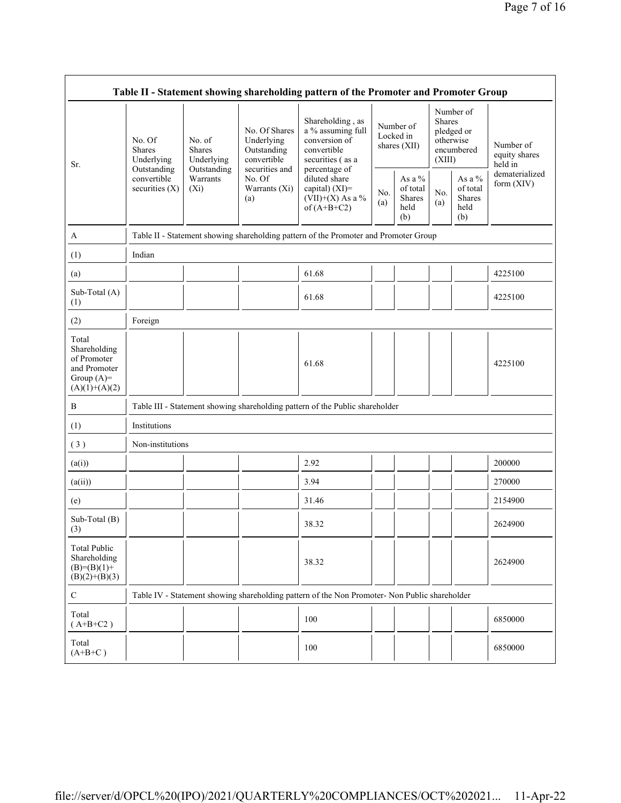|                                                                                         | Table II - Statement showing shareholding pattern of the Promoter and Promoter Group |                                                                               |                                                                                                               |                                                                                                                                                                                       |            |                                                    |                                                                               |                                                       |                                                         |
|-----------------------------------------------------------------------------------------|--------------------------------------------------------------------------------------|-------------------------------------------------------------------------------|---------------------------------------------------------------------------------------------------------------|---------------------------------------------------------------------------------------------------------------------------------------------------------------------------------------|------------|----------------------------------------------------|-------------------------------------------------------------------------------|-------------------------------------------------------|---------------------------------------------------------|
| Sr.                                                                                     | No. Of<br><b>Shares</b><br>Underlying                                                | No. $of$<br><b>Shares</b><br>Underlying<br>Outstanding<br>Warrants<br>$(X_i)$ | No. Of Shares<br>Underlying<br>Outstanding<br>convertible<br>securities and<br>No. Of<br>Warrants (Xi)<br>(a) | Shareholding, as<br>a % assuming full<br>conversion of<br>convertible<br>securities (as a<br>percentage of<br>diluted share<br>capital) $(XI)$ =<br>(VII)+(X) As a %<br>of $(A+B+C2)$ |            | Number of<br>Locked in<br>shares (XII)             | Number of<br><b>Shares</b><br>pledged or<br>otherwise<br>encumbered<br>(XIII) |                                                       | Number of<br>equity shares<br>held in<br>dematerialized |
|                                                                                         | Outstanding<br>convertible<br>securities $(X)$                                       |                                                                               |                                                                                                               |                                                                                                                                                                                       | No.<br>(a) | As a %<br>of total<br><b>Shares</b><br>held<br>(b) | No.<br>(a)                                                                    | As a $\%$<br>of total<br><b>Shares</b><br>held<br>(b) | form (XIV)                                              |
| A                                                                                       |                                                                                      |                                                                               |                                                                                                               | Table II - Statement showing shareholding pattern of the Promoter and Promoter Group                                                                                                  |            |                                                    |                                                                               |                                                       |                                                         |
| (1)                                                                                     | Indian                                                                               |                                                                               |                                                                                                               |                                                                                                                                                                                       |            |                                                    |                                                                               |                                                       |                                                         |
| (a)                                                                                     |                                                                                      |                                                                               |                                                                                                               | 61.68                                                                                                                                                                                 |            |                                                    |                                                                               |                                                       | 4225100                                                 |
| Sub-Total (A)<br>(1)                                                                    |                                                                                      |                                                                               |                                                                                                               | 61.68                                                                                                                                                                                 |            |                                                    |                                                                               |                                                       | 4225100                                                 |
| (2)                                                                                     | Foreign                                                                              |                                                                               |                                                                                                               |                                                                                                                                                                                       |            |                                                    |                                                                               |                                                       |                                                         |
| Total<br>Shareholding<br>of Promoter<br>and Promoter<br>Group $(A)=$<br>$(A)(1)+(A)(2)$ |                                                                                      |                                                                               |                                                                                                               | 61.68                                                                                                                                                                                 |            |                                                    |                                                                               |                                                       | 4225100                                                 |
| B                                                                                       |                                                                                      |                                                                               |                                                                                                               | Table III - Statement showing shareholding pattern of the Public shareholder                                                                                                          |            |                                                    |                                                                               |                                                       |                                                         |
| (1)                                                                                     | Institutions                                                                         |                                                                               |                                                                                                               |                                                                                                                                                                                       |            |                                                    |                                                                               |                                                       |                                                         |
| (3)                                                                                     | Non-institutions                                                                     |                                                                               |                                                                                                               |                                                                                                                                                                                       |            |                                                    |                                                                               |                                                       |                                                         |
| (a(i))                                                                                  |                                                                                      |                                                                               |                                                                                                               | 2.92                                                                                                                                                                                  |            |                                                    |                                                                               |                                                       | 200000                                                  |
| (a(ii))                                                                                 |                                                                                      |                                                                               |                                                                                                               | 3.94                                                                                                                                                                                  |            |                                                    |                                                                               |                                                       | 270000                                                  |
| (e)                                                                                     |                                                                                      |                                                                               |                                                                                                               | 31.46                                                                                                                                                                                 |            |                                                    |                                                                               |                                                       | 2154900                                                 |
| Sub-Total (B)<br>(3)                                                                    |                                                                                      |                                                                               |                                                                                                               | 38.32                                                                                                                                                                                 |            |                                                    |                                                                               |                                                       | 2624900                                                 |
| <b>Total Public</b><br>Shareholding<br>$(B)= (B)(1) +$<br>$(B)(2)+(B)(3)$               |                                                                                      |                                                                               |                                                                                                               | 38.32                                                                                                                                                                                 |            |                                                    |                                                                               |                                                       | 2624900                                                 |
| $\mathbf C$                                                                             |                                                                                      |                                                                               |                                                                                                               | Table IV - Statement showing shareholding pattern of the Non Promoter- Non Public shareholder                                                                                         |            |                                                    |                                                                               |                                                       |                                                         |
| Total<br>$(A+B+C2)$                                                                     |                                                                                      |                                                                               |                                                                                                               | 100                                                                                                                                                                                   |            |                                                    |                                                                               |                                                       | 6850000                                                 |
| Total<br>$(A+B+C)$                                                                      |                                                                                      |                                                                               |                                                                                                               | 100                                                                                                                                                                                   |            |                                                    |                                                                               |                                                       | 6850000                                                 |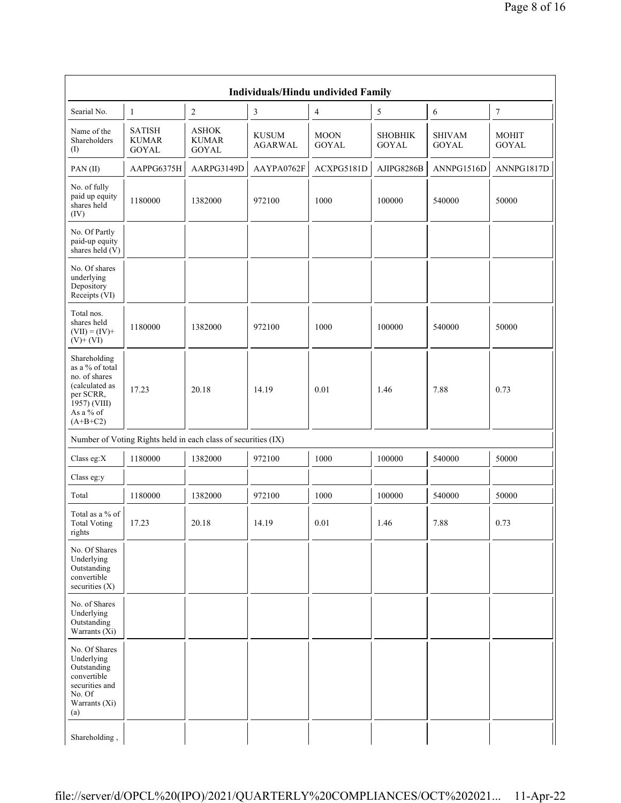|                                                                                                                            | Individuals/Hindu undivided Family                            |                                        |                                |                             |                                |                               |                              |  |
|----------------------------------------------------------------------------------------------------------------------------|---------------------------------------------------------------|----------------------------------------|--------------------------------|-----------------------------|--------------------------------|-------------------------------|------------------------------|--|
| Searial No.                                                                                                                | $\mathbf{1}$                                                  | $\overline{c}$                         | $\sqrt{3}$                     | 4                           | 5                              | 6                             | $\boldsymbol{7}$             |  |
| Name of the<br>Shareholders<br>(I)                                                                                         | <b>SATISH</b><br><b>KUMAR</b><br><b>GOYAL</b>                 | ${\rm ASHOK}$<br>KUMAR<br><b>GOYAL</b> | <b>KUSUM</b><br><b>AGARWAL</b> | <b>MOON</b><br><b>GOYAL</b> | <b>SHOBHIK</b><br><b>GOYAL</b> | <b>SHIVAM</b><br><b>GOYAL</b> | <b>MOHIT</b><br><b>GOYAL</b> |  |
| PAN(II)                                                                                                                    | AAPPG6375H                                                    | AARPG3149D                             | AAYPA0762F                     | ACXPG5181D                  | AJIPG8286B                     | ANNPG1516D                    | ANNPG1817D                   |  |
| No. of fully<br>paid up equity<br>shares held<br>(IV)                                                                      | 1180000                                                       | 1382000                                | 972100                         | 1000                        | 100000                         | 540000                        | 50000                        |  |
| No. Of Partly<br>paid-up equity<br>shares held (V)                                                                         |                                                               |                                        |                                |                             |                                |                               |                              |  |
| No. Of shares<br>underlying<br>Depository<br>Receipts (VI)                                                                 |                                                               |                                        |                                |                             |                                |                               |                              |  |
| Total nos.<br>shares held<br>$(VII) = (IV) +$<br>$(V)+(VI)$                                                                | 1180000                                                       | 1382000                                | 972100                         | 1000                        | 100000                         | 540000                        | 50000                        |  |
| Shareholding<br>as a % of total<br>no. of shares<br>(calculated as<br>per SCRR,<br>1957) (VIII)<br>As a % of<br>$(A+B+C2)$ | 17.23                                                         | 20.18                                  | 14.19                          | 0.01                        | 1.46                           | 7.88                          | 0.73                         |  |
|                                                                                                                            | Number of Voting Rights held in each class of securities (IX) |                                        |                                |                             |                                |                               |                              |  |
| Class eg:X                                                                                                                 | 1180000                                                       | 1382000                                | 972100                         | 1000                        | 100000                         | 540000                        | 50000                        |  |
| Class eg:y                                                                                                                 |                                                               |                                        |                                |                             |                                |                               |                              |  |
| Total                                                                                                                      | 1180000                                                       | 1382000                                | 972100                         | 1000                        | 100000                         | 540000                        | 50000                        |  |
| Total as a % of<br><b>Total Voting</b><br>rights                                                                           | 17.23                                                         | 20.18                                  | 14.19                          | $0.01\,$                    | 1.46                           | 7.88                          | 0.73                         |  |
| No. Of Shares<br>Underlying<br>Outstanding<br>convertible<br>securities $(X)$                                              |                                                               |                                        |                                |                             |                                |                               |                              |  |
| No. of Shares<br>Underlying<br>Outstanding<br>Warrants $(X_i)$                                                             |                                                               |                                        |                                |                             |                                |                               |                              |  |
| No. Of Shares<br>Underlying<br>Outstanding<br>convertible<br>securities and<br>No. Of<br>Warrants (Xi)<br>(a)              |                                                               |                                        |                                |                             |                                |                               |                              |  |
| Shareholding,                                                                                                              |                                                               |                                        |                                |                             |                                |                               |                              |  |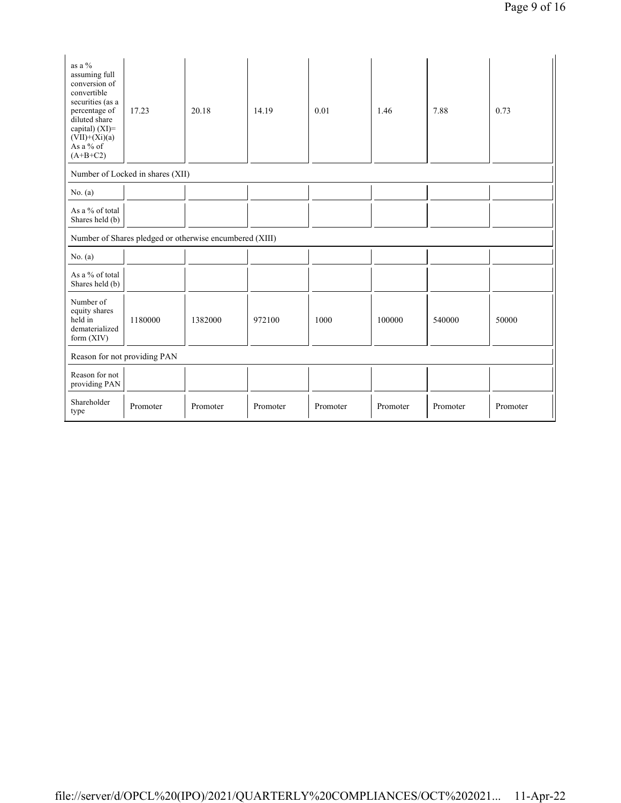| as a %<br>assuming full<br>conversion of<br>convertible<br>securities (as a<br>percentage of<br>diluted share<br>capital) (XI)=<br>$(VII)+(Xi)(a)$<br>As a % of<br>$(A+B+C2)$ | 17.23                            | 20.18                                                   | 14.19    | 0.01     | 1.46     | 7.88     | 0.73     |
|-------------------------------------------------------------------------------------------------------------------------------------------------------------------------------|----------------------------------|---------------------------------------------------------|----------|----------|----------|----------|----------|
|                                                                                                                                                                               | Number of Locked in shares (XII) |                                                         |          |          |          |          |          |
| No. $(a)$                                                                                                                                                                     |                                  |                                                         |          |          |          |          |          |
| As a % of total<br>Shares held (b)                                                                                                                                            |                                  |                                                         |          |          |          |          |          |
|                                                                                                                                                                               |                                  | Number of Shares pledged or otherwise encumbered (XIII) |          |          |          |          |          |
| No. $(a)$                                                                                                                                                                     |                                  |                                                         |          |          |          |          |          |
| As a % of total<br>Shares held (b)                                                                                                                                            |                                  |                                                         |          |          |          |          |          |
| Number of<br>equity shares<br>held in<br>dematerialized<br>form $(XIV)$                                                                                                       | 1180000                          | 1382000                                                 | 972100   | 1000     | 100000   | 540000   | 50000    |
| Reason for not providing PAN                                                                                                                                                  |                                  |                                                         |          |          |          |          |          |
| Reason for not<br>providing PAN                                                                                                                                               |                                  |                                                         |          |          |          |          |          |
| Shareholder<br>type                                                                                                                                                           | Promoter                         | Promoter                                                | Promoter | Promoter | Promoter | Promoter | Promoter |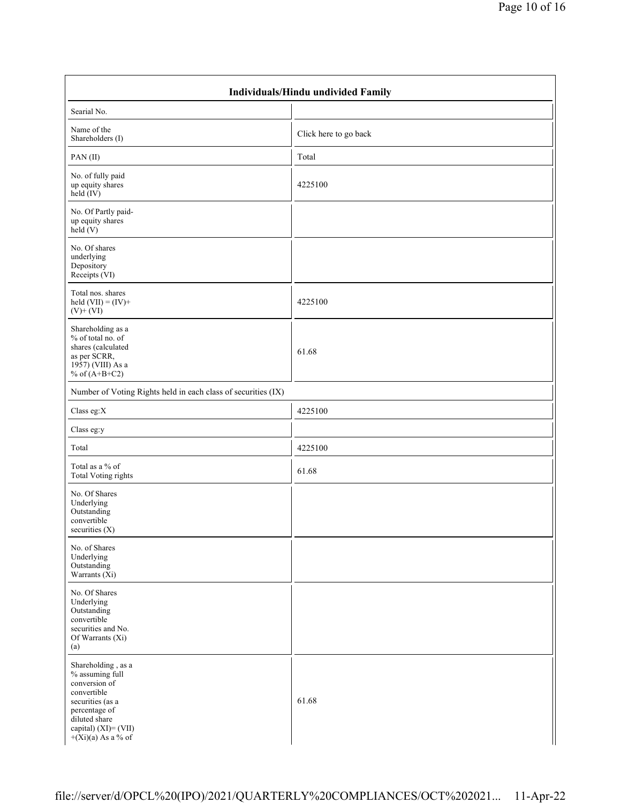| <b>Individuals/Hindu undivided Family</b>                                                                                                                                   |                       |  |  |  |  |  |
|-----------------------------------------------------------------------------------------------------------------------------------------------------------------------------|-----------------------|--|--|--|--|--|
| Searial No.                                                                                                                                                                 |                       |  |  |  |  |  |
| Name of the<br>Shareholders (I)                                                                                                                                             | Click here to go back |  |  |  |  |  |
| PAN(II)                                                                                                                                                                     | Total                 |  |  |  |  |  |
| No. of fully paid<br>up equity shares<br>held $(IV)$                                                                                                                        | 4225100               |  |  |  |  |  |
| No. Of Partly paid-<br>up equity shares<br>held $(V)$                                                                                                                       |                       |  |  |  |  |  |
| No. Of shares<br>underlying<br>Depository<br>Receipts (VI)                                                                                                                  |                       |  |  |  |  |  |
| Total nos. shares<br>held $(VII) = (IV) +$<br>$(V)$ + $(VI)$                                                                                                                | 4225100               |  |  |  |  |  |
| Shareholding as a<br>% of total no. of<br>shares (calculated<br>as per SCRR,<br>1957) (VIII) As a<br>% of $(A+B+C2)$                                                        | 61.68                 |  |  |  |  |  |
| Number of Voting Rights held in each class of securities (IX)                                                                                                               |                       |  |  |  |  |  |
| Class eg: $X$                                                                                                                                                               | 4225100               |  |  |  |  |  |
| Class eg:y                                                                                                                                                                  |                       |  |  |  |  |  |
| Total                                                                                                                                                                       | 4225100               |  |  |  |  |  |
| Total as a % of<br><b>Total Voting rights</b>                                                                                                                               | 61.68                 |  |  |  |  |  |
| No. Of Shares<br>Underlying<br>Outstanding<br>convertible<br>securities (X)                                                                                                 |                       |  |  |  |  |  |
| No. of Shares<br>Underlying<br>Outstanding<br>Warrants $(X_i)$                                                                                                              |                       |  |  |  |  |  |
| No. Of Shares<br>Underlying<br>Outstanding<br>convertible<br>securities and No.<br>Of Warrants (Xi)<br>(a)                                                                  |                       |  |  |  |  |  |
| Shareholding, as a<br>% assuming full<br>conversion of<br>convertible<br>securities (as a<br>percentage of<br>diluted share<br>capital) (XI)= (VII)<br>$+(Xi)(a)$ As a % of | 61.68                 |  |  |  |  |  |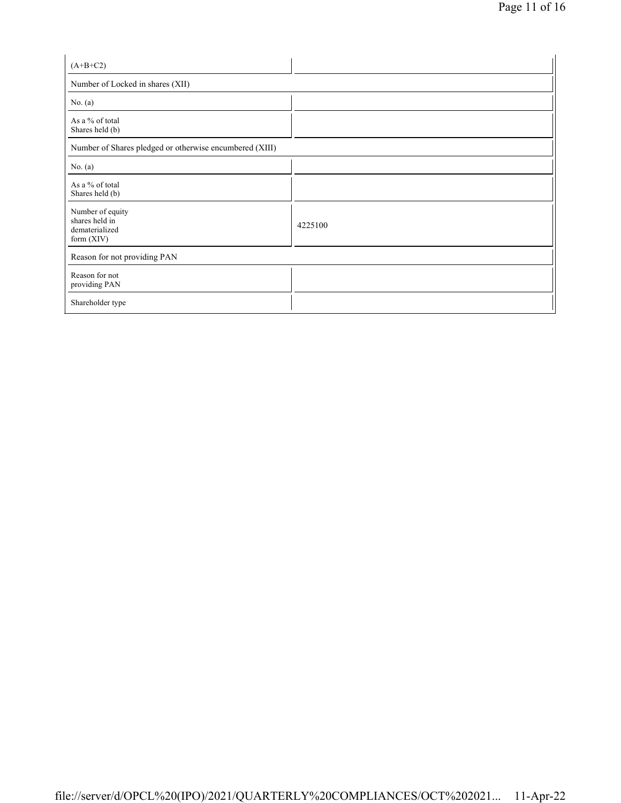| $(A+B+C2)$                                                           |         |
|----------------------------------------------------------------------|---------|
| Number of Locked in shares (XII)                                     |         |
| No. $(a)$                                                            |         |
| As a % of total<br>Shares held (b)                                   |         |
| Number of Shares pledged or otherwise encumbered (XIII)              |         |
| No. (a)                                                              |         |
| As a % of total<br>Shares held (b)                                   |         |
| Number of equity<br>shares held in<br>dematerialized<br>form $(XIV)$ | 4225100 |
| Reason for not providing PAN                                         |         |
| Reason for not<br>providing PAN                                      |         |
| Shareholder type                                                     |         |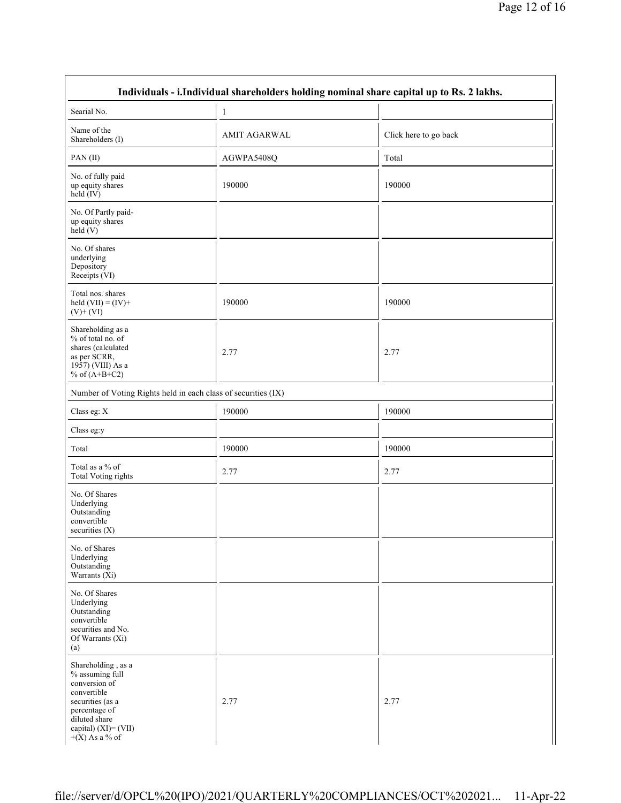|                                                                                                                                                                            | Individuals - i. Individual shareholders holding nominal share capital up to Rs. 2 lakhs. |                       |
|----------------------------------------------------------------------------------------------------------------------------------------------------------------------------|-------------------------------------------------------------------------------------------|-----------------------|
| Searial No.                                                                                                                                                                | 1                                                                                         |                       |
| Name of the<br>Shareholders (I)                                                                                                                                            | <b>AMIT AGARWAL</b>                                                                       | Click here to go back |
| PAN(II)                                                                                                                                                                    | AGWPA5408Q                                                                                | Total                 |
| No. of fully paid<br>up equity shares<br>held (IV)                                                                                                                         | 190000                                                                                    | 190000                |
| No. Of Partly paid-<br>up equity shares<br>$\text{held}(V)$                                                                                                                |                                                                                           |                       |
| No. Of shares<br>underlying<br>Depository<br>Receipts (VI)                                                                                                                 |                                                                                           |                       |
| Total nos. shares<br>held $(VII) = (IV) +$<br>$(V)$ + $(VI)$                                                                                                               | 190000                                                                                    | 190000                |
| Shareholding as a<br>% of total no. of<br>shares (calculated<br>as per SCRR,<br>1957) (VIII) As a<br>% of $(A+B+C2)$                                                       | 2.77                                                                                      | 2.77                  |
| Number of Voting Rights held in each class of securities (IX)                                                                                                              |                                                                                           |                       |
| Class eg: X                                                                                                                                                                | 190000                                                                                    | 190000                |
| Class eg:y                                                                                                                                                                 |                                                                                           |                       |
| Total                                                                                                                                                                      | 190000                                                                                    | 190000                |
| Total as a % of<br><b>Total Voting rights</b>                                                                                                                              | 2.77                                                                                      | 2.77                  |
| No. Of Shares<br>Underlying<br>Outstanding<br>convertible<br>securities $(X)$                                                                                              |                                                                                           |                       |
| No. of Shares<br>Underlying<br>Outstanding<br>Warrants $(X_i)$                                                                                                             |                                                                                           |                       |
| No. Of Shares<br>Underlying<br>Outstanding<br>convertible<br>securities and No.<br>Of Warrants (Xi)<br>(a)                                                                 |                                                                                           |                       |
| Shareholding, as a<br>% assuming full<br>conversion of<br>convertible<br>securities (as a<br>percentage of<br>diluted share<br>capital) $(XI) = (VII)$<br>$+(X)$ As a % of | 2.77                                                                                      | 2.77                  |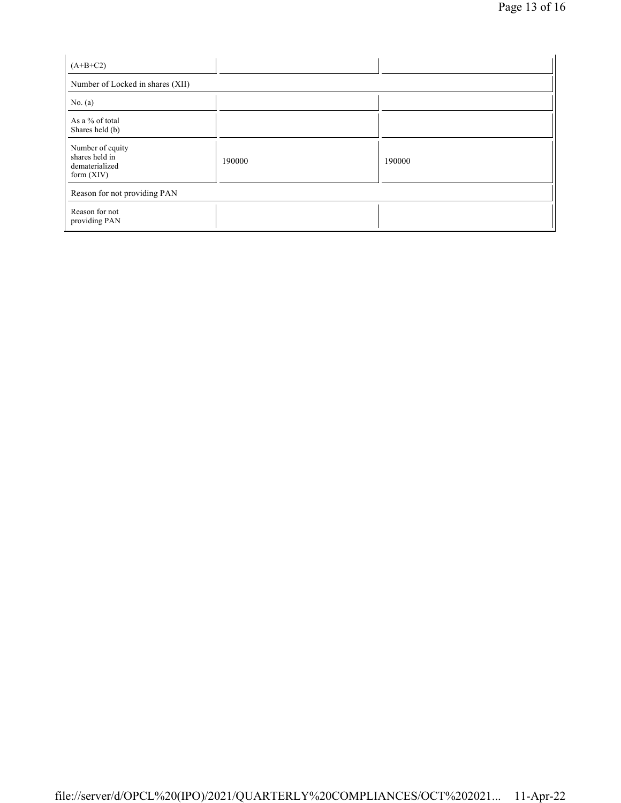| $(A+B+C2)$                                                           |        |        |  |  |  |  |
|----------------------------------------------------------------------|--------|--------|--|--|--|--|
| Number of Locked in shares (XII)                                     |        |        |  |  |  |  |
| No. $(a)$                                                            |        |        |  |  |  |  |
| As a % of total<br>Shares held (b)                                   |        |        |  |  |  |  |
| Number of equity<br>shares held in<br>dematerialized<br>form $(XIV)$ | 190000 | 190000 |  |  |  |  |
| Reason for not providing PAN                                         |        |        |  |  |  |  |
| Reason for not<br>providing PAN                                      |        |        |  |  |  |  |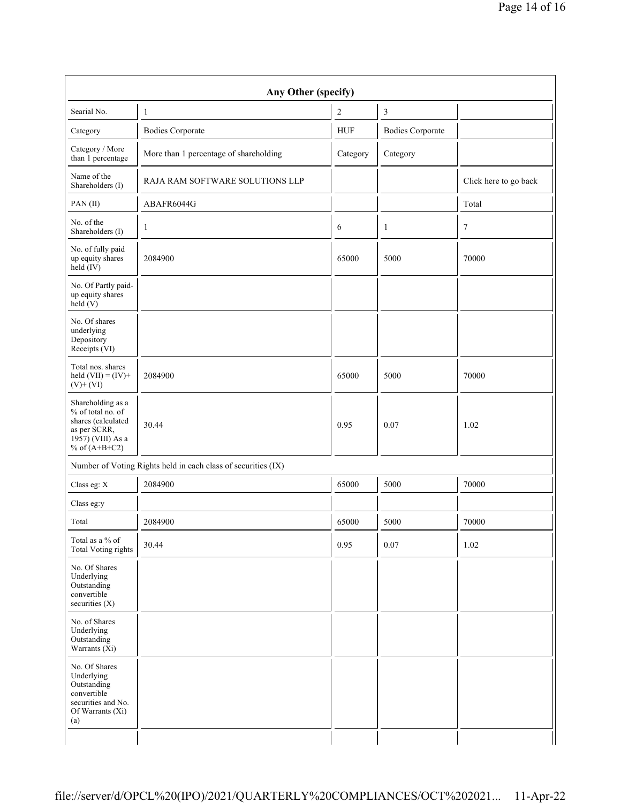| Any Other (specify)                                                                                                  |                                        |                |                         |                       |  |  |
|----------------------------------------------------------------------------------------------------------------------|----------------------------------------|----------------|-------------------------|-----------------------|--|--|
| Searial No.                                                                                                          | $\mathbf{1}$                           | $\overline{2}$ | $\mathfrak z$           |                       |  |  |
| Category                                                                                                             | <b>Bodies Corporate</b>                | <b>HUF</b>     | <b>Bodies Corporate</b> |                       |  |  |
| Category / More<br>than 1 percentage                                                                                 | More than 1 percentage of shareholding | Category       | Category                |                       |  |  |
| Name of the<br>Shareholders (I)                                                                                      | RAJA RAM SOFTWARE SOLUTIONS LLP        |                |                         | Click here to go back |  |  |
| PAN(II)                                                                                                              | ABAFR6044G                             |                |                         | Total                 |  |  |
| No. of the<br>Shareholders (I)                                                                                       | 1                                      | 6              | 1                       | 7                     |  |  |
| No. of fully paid<br>up equity shares<br>$\text{held}(\text{IV})$                                                    | 2084900                                | 65000          | 5000                    | 70000                 |  |  |
| No. Of Partly paid-<br>up equity shares<br>held $(V)$                                                                |                                        |                |                         |                       |  |  |
| No. Of shares<br>underlying<br>Depository<br>Receipts (VI)                                                           |                                        |                |                         |                       |  |  |
| Total nos. shares<br>held $(VII) = (IV) +$<br>$(V)$ + $(VI)$                                                         | 2084900                                | 65000          | 5000                    | 70000                 |  |  |
| Shareholding as a<br>% of total no. of<br>shares (calculated<br>as per SCRR,<br>1957) (VIII) As a<br>% of $(A+B+C2)$ | 30.44                                  | 0.95           | 0.07                    | 1.02                  |  |  |
| Number of Voting Rights held in each class of securities (IX)                                                        |                                        |                |                         |                       |  |  |
| Class eg: X                                                                                                          | 2084900                                | 65000          | 5000                    | 70000                 |  |  |
| Class eg:y                                                                                                           |                                        |                |                         |                       |  |  |
| Total                                                                                                                | 2084900                                | 65000          | 5000                    | 70000                 |  |  |
| Total as a % of<br><b>Total Voting rights</b>                                                                        | 30.44                                  | 0.95           | 0.07                    | 1.02                  |  |  |
| No. Of Shares<br>Underlying<br>Outstanding<br>convertible<br>securities $(X)$                                        |                                        |                |                         |                       |  |  |
| No. of Shares<br>Underlying<br>Outstanding<br>Warrants $(X_i)$                                                       |                                        |                |                         |                       |  |  |
| No. Of Shares<br>Underlying<br>Outstanding<br>convertible<br>securities and No.<br>Of Warrants (Xi)<br>(a)           |                                        |                |                         |                       |  |  |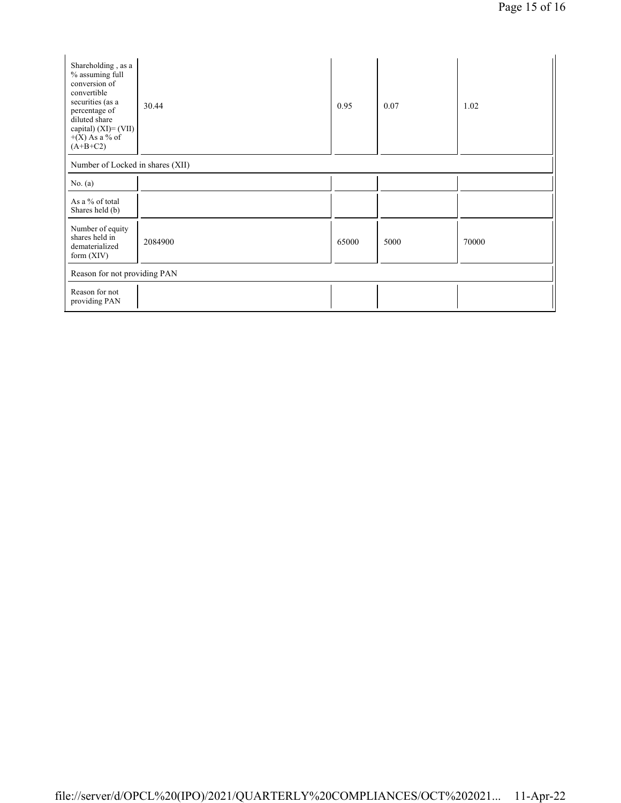| Shareholding, as a<br>% assuming full<br>conversion of<br>convertible<br>securities (as a<br>percentage of<br>diluted share<br>capital) $(XI) = (VII)$<br>$+(X)$ As a % of<br>$(A+B+C2)$ | 30.44   | 0.95  | 0.07 | 1.02  |  |  |
|------------------------------------------------------------------------------------------------------------------------------------------------------------------------------------------|---------|-------|------|-------|--|--|
| Number of Locked in shares (XII)                                                                                                                                                         |         |       |      |       |  |  |
| No. $(a)$                                                                                                                                                                                |         |       |      |       |  |  |
| As a % of total<br>Shares held (b)                                                                                                                                                       |         |       |      |       |  |  |
| Number of equity<br>shares held in<br>dematerialized<br>form $(XIV)$                                                                                                                     | 2084900 | 65000 | 5000 | 70000 |  |  |
| Reason for not providing PAN                                                                                                                                                             |         |       |      |       |  |  |
| Reason for not<br>providing PAN                                                                                                                                                          |         |       |      |       |  |  |